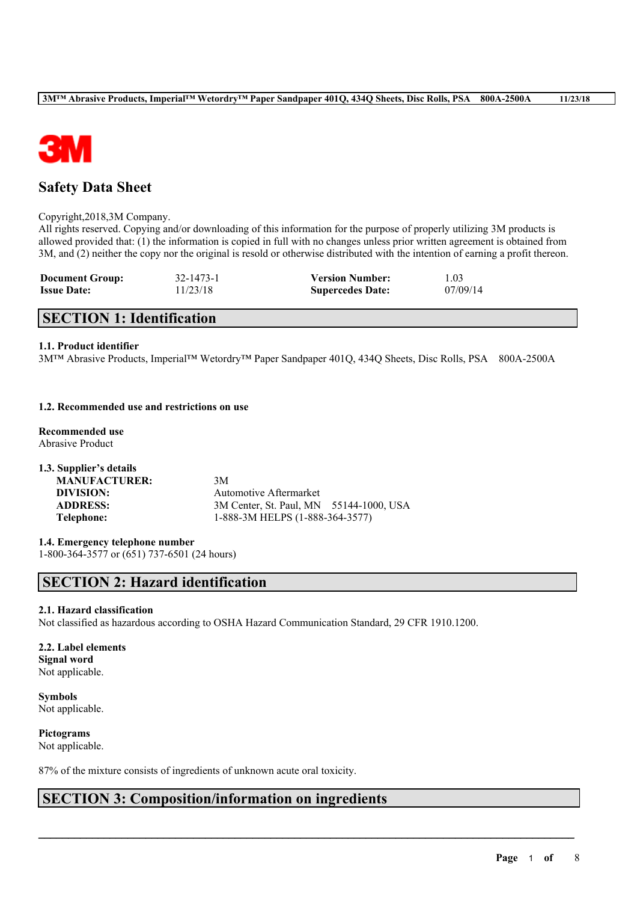

# **Safety Data Sheet**

#### Copyright,2018,3M Company.

All rights reserved. Copying and/or downloading of this information for the purpose of properly utilizing 3M products is allowed provided that: (1) the information is copied in full with no changes unless prior written agreement is obtained from 3M, and (2) neither the copy nor the original is resold or otherwise distributed with the intention of earning a profit thereon.

| <b>Document Group:</b> | 32-1473-1 | <b>Version Number:</b>  | 1.03     |
|------------------------|-----------|-------------------------|----------|
| <b>Issue Date:</b>     | 11/23/18  | <b>Supercedes Date:</b> | 07/09/14 |

## **SECTION 1: Identification**

### **1.1. Product identifier**

3M™ Abrasive Products, Imperial™ Wetordry™ Paper Sandpaper 401Q, 434Q Sheets, Disc Rolls, PSA 800A-2500A

### **1.2. Recommended use and restrictions on use**

**Recommended use** Abrasive Product

**1.3. Supplier's details MANUFACTURER:** 3M

**DIVISION:** Automotive Aftermarket **ADDRESS:** 3M Center, St. Paul, MN 55144-1000, USA **Telephone:** 1-888-3M HELPS (1-888-364-3577)

**1.4. Emergency telephone number**

1-800-364-3577 or (651) 737-6501 (24 hours)

# **SECTION 2: Hazard identification**

### **2.1. Hazard classification**

Not classified as hazardous according to OSHA Hazard Communication Standard, 29 CFR 1910.1200.

 $\mathcal{L}_\mathcal{L} = \mathcal{L}_\mathcal{L} = \mathcal{L}_\mathcal{L} = \mathcal{L}_\mathcal{L} = \mathcal{L}_\mathcal{L} = \mathcal{L}_\mathcal{L} = \mathcal{L}_\mathcal{L} = \mathcal{L}_\mathcal{L} = \mathcal{L}_\mathcal{L} = \mathcal{L}_\mathcal{L} = \mathcal{L}_\mathcal{L} = \mathcal{L}_\mathcal{L} = \mathcal{L}_\mathcal{L} = \mathcal{L}_\mathcal{L} = \mathcal{L}_\mathcal{L} = \mathcal{L}_\mathcal{L} = \mathcal{L}_\mathcal{L}$ 

**2.2. Label elements Signal word** Not applicable.

**Symbols** Not applicable.

**Pictograms** Not applicable.

87% of the mixture consists of ingredients of unknown acute oral toxicity.

## **SECTION 3: Composition/information on ingredients**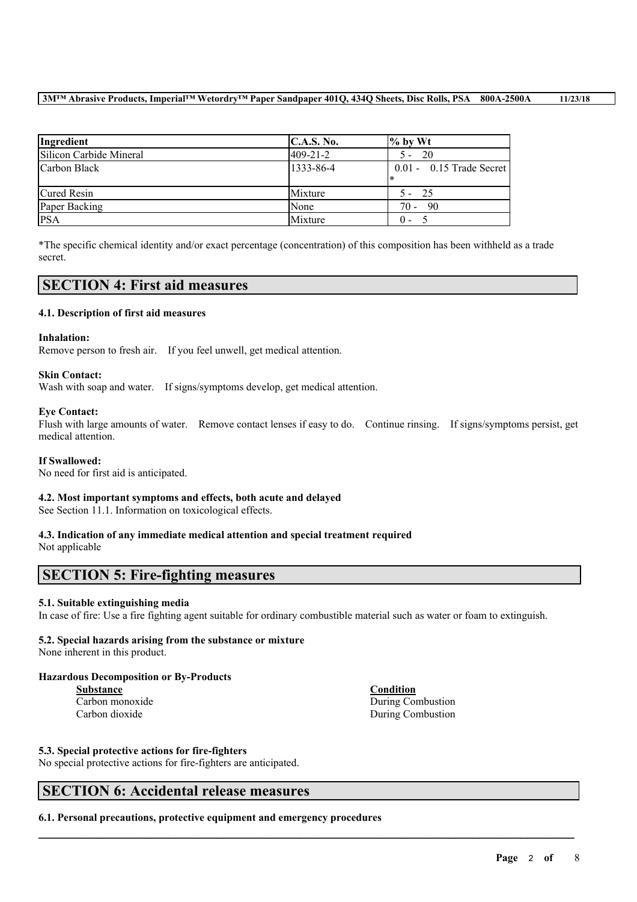| Ingredient              | C.A.S. No.     | $\%$ by Wt                      |
|-------------------------|----------------|---------------------------------|
| Silicon Carbide Mineral | $409 - 21 - 2$ | - 20<br>$5 -$                   |
| Carbon Black            | 1333-86-4      | $0.01 - 0.15$ Trade Secret<br>∗ |
| Cured Resin             | Mixture        | $5 - 25$                        |
| Paper Backing           | None           | $70 - 90$                       |
| <b>PSA</b>              | Mixture        | 0 -                             |

\*The specific chemical identity and/or exact percentage (concentration) of this composition has been withheld as a trade secret.

## **SECTION 4: First aid measures**

### **4.1. Description of first aid measures**

### **Inhalation:**

Remove person to fresh air. If you feel unwell, get medical attention.

### **Skin Contact:**

Wash with soap and water. If signs/symptoms develop, get medical attention.

### **Eye Contact:**

Flush with large amounts of water. Remove contact lenses if easy to do. Continue rinsing. If signs/symptoms persist, get medical attention.

### **If Swallowed:**

No need for first aid is anticipated.

### **4.2. Most important symptoms and effects, both acute and delayed**

See Section 11.1. Information on toxicological effects.

#### **4.3. Indication of any immediate medical attention and special treatment required** Not applicable

## **SECTION 5: Fire-fighting measures**

### **5.1. Suitable extinguishing media**

In case of fire: Use a fire fighting agent suitable for ordinary combustible material such as water or foam to extinguish.

 $\mathcal{L}_\mathcal{L} = \mathcal{L}_\mathcal{L} = \mathcal{L}_\mathcal{L} = \mathcal{L}_\mathcal{L} = \mathcal{L}_\mathcal{L} = \mathcal{L}_\mathcal{L} = \mathcal{L}_\mathcal{L} = \mathcal{L}_\mathcal{L} = \mathcal{L}_\mathcal{L} = \mathcal{L}_\mathcal{L} = \mathcal{L}_\mathcal{L} = \mathcal{L}_\mathcal{L} = \mathcal{L}_\mathcal{L} = \mathcal{L}_\mathcal{L} = \mathcal{L}_\mathcal{L} = \mathcal{L}_\mathcal{L} = \mathcal{L}_\mathcal{L}$ 

## **5.2. Special hazards arising from the substance or mixture**

None inherent in this product.

## **Hazardous Decomposition or By-Products**

**Substance Condition**

Carbon monoxide During Combustion Carbon dioxide During Combustion

### **5.3. Special protective actions for fire-fighters**

No special protective actions for fire-fighters are anticipated.

## **SECTION 6: Accidental release measures**

**6.1. Personal precautions, protective equipment and emergency procedures**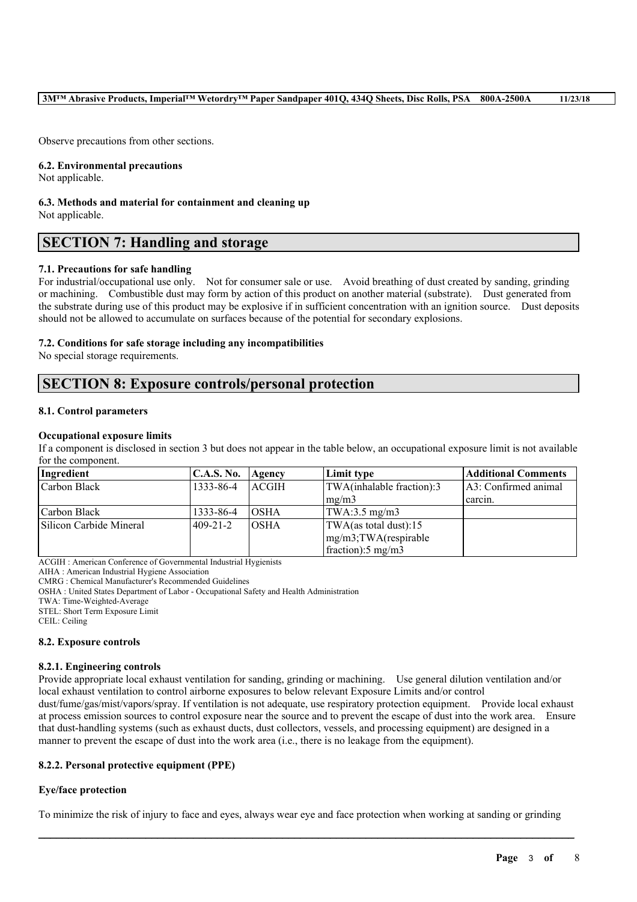Observe precautions from other sections.

#### **6.2. Environmental precautions**

Not applicable.

# **6.3. Methods and material for containment and cleaning up**

Not applicable.

# **SECTION 7: Handling and storage**

### **7.1. Precautions for safe handling**

For industrial/occupational use only. Not for consumer sale or use. Avoid breathing of dust created by sanding, grinding or machining. Combustible dust may form by action of this product on another material (substrate). Dust generated from the substrate during use of this product may be explosive if in sufficient concentration with an ignition source. Dust deposits should not be allowed to accumulate on surfaces because of the potential for secondary explosions.

### **7.2. Conditions for safe storage including any incompatibilities**

No special storage requirements.

## **SECTION 8: Exposure controls/personal protection**

### **8.1. Control parameters**

### **Occupational exposure limits**

If a component is disclosed in section 3 but does not appear in the table below, an occupational exposure limit is not available for the component.

| Ingredient              | C.A.S. No. | Agency       | Limit type                    | <b>Additional Comments</b> |
|-------------------------|------------|--------------|-------------------------------|----------------------------|
| Carbon Black            | 1333-86-4  | <b>ACGIH</b> | TWA(inhalable fraction):3     | 1A3: Confirmed animal      |
|                         |            |              | $\rm{Im}$ g/m3                | carcin.                    |
| Carbon Black            | 1333-86-4  | IOSHA        | $TWA:3.5$ mg/m $3$            |                            |
| Silicon Carbide Mineral | 1409-21-2  | IOSHA        | TWA(as total dust):15         |                            |
|                         |            |              | $mg/m3$ ; TWA(respirable      |                            |
|                         |            |              | fraction): $5 \text{ mg/m}$ 3 |                            |

ACGIH : American Conference of Governmental Industrial Hygienists

AIHA : American Industrial Hygiene Association

CMRG : Chemical Manufacturer's Recommended Guidelines

OSHA : United States Department of Labor - Occupational Safety and Health Administration

TWA: Time-Weighted-Average

STEL: Short Term Exposure Limit

CEIL: Ceiling

### **8.2. Exposure controls**

### **8.2.1. Engineering controls**

Provide appropriate local exhaust ventilation for sanding, grinding or machining. Use general dilution ventilation and/or local exhaust ventilation to control airborne exposures to below relevant Exposure Limits and/or control

dust/fume/gas/mist/vapors/spray. If ventilation is not adequate, use respiratory protection equipment. Provide local exhaust at process emission sources to control exposure near the source and to prevent the escape of dust into the work area. Ensure that dust-handling systems (such as exhaust ducts, dust collectors, vessels, and processing equipment) are designed in a manner to prevent the escape of dust into the work area (i.e., there is no leakage from the equipment).

### **8.2.2. Personal protective equipment (PPE)**

### **Eye/face protection**

To minimize the risk of injury to face and eyes, always wear eye and face protection when working at sanding or grinding

 $\mathcal{L}_\mathcal{L} = \mathcal{L}_\mathcal{L} = \mathcal{L}_\mathcal{L} = \mathcal{L}_\mathcal{L} = \mathcal{L}_\mathcal{L} = \mathcal{L}_\mathcal{L} = \mathcal{L}_\mathcal{L} = \mathcal{L}_\mathcal{L} = \mathcal{L}_\mathcal{L} = \mathcal{L}_\mathcal{L} = \mathcal{L}_\mathcal{L} = \mathcal{L}_\mathcal{L} = \mathcal{L}_\mathcal{L} = \mathcal{L}_\mathcal{L} = \mathcal{L}_\mathcal{L} = \mathcal{L}_\mathcal{L} = \mathcal{L}_\mathcal{L}$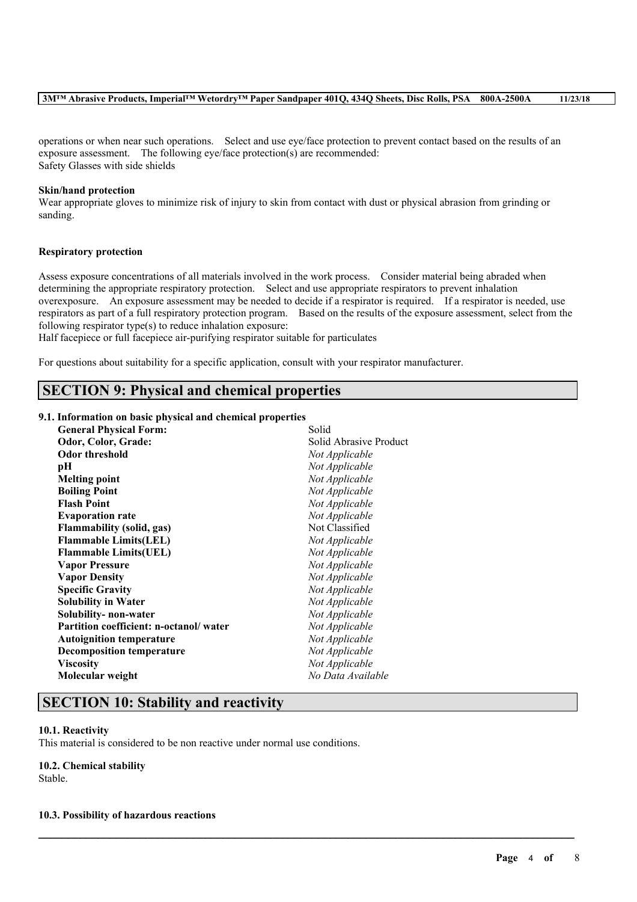operations or when near such operations. Select and use eye/face protection to prevent contact based on the results of an exposure assessment. The following eye/face protection(s) are recommended: Safety Glasses with side shields

#### **Skin/hand protection**

Wear appropriate gloves to minimize risk of injury to skin from contact with dust or physical abrasion from grinding or sanding.

#### **Respiratory protection**

Assess exposure concentrations of all materials involved in the work process. Consider material being abraded when determining the appropriate respiratory protection. Select and use appropriate respirators to prevent inhalation overexposure. An exposure assessment may be needed to decide if a respirator is required. If a respirator is needed, use respirators as part of a full respiratory protection program. Based on the results of the exposure assessment, select from the following respirator type(s) to reduce inhalation exposure:

 $\mathcal{L}_\mathcal{L} = \mathcal{L}_\mathcal{L} = \mathcal{L}_\mathcal{L} = \mathcal{L}_\mathcal{L} = \mathcal{L}_\mathcal{L} = \mathcal{L}_\mathcal{L} = \mathcal{L}_\mathcal{L} = \mathcal{L}_\mathcal{L} = \mathcal{L}_\mathcal{L} = \mathcal{L}_\mathcal{L} = \mathcal{L}_\mathcal{L} = \mathcal{L}_\mathcal{L} = \mathcal{L}_\mathcal{L} = \mathcal{L}_\mathcal{L} = \mathcal{L}_\mathcal{L} = \mathcal{L}_\mathcal{L} = \mathcal{L}_\mathcal{L}$ 

Half facepiece or full facepiece air-purifying respirator suitable for particulates

For questions about suitability for a specific application, consult with your respirator manufacturer.

## **SECTION 9: Physical and chemical properties**

#### **9.1. Information on basic physical and chemical properties**

| <b>General Physical Form:</b>          | Solid                  |
|----------------------------------------|------------------------|
| Odor, Color, Grade:                    | Solid Abrasive Product |
| <b>Odor threshold</b>                  | Not Applicable         |
| pН                                     | Not Applicable         |
| <b>Melting point</b>                   | Not Applicable         |
| <b>Boiling Point</b>                   | Not Applicable         |
| <b>Flash Point</b>                     | Not Applicable         |
| <b>Evaporation rate</b>                | Not Applicable         |
| <b>Flammability (solid, gas)</b>       | Not Classified         |
| <b>Flammable Limits(LEL)</b>           | Not Applicable         |
| <b>Flammable Limits(UEL)</b>           | Not Applicable         |
| <b>Vapor Pressure</b>                  | Not Applicable         |
| <b>Vapor Density</b>                   | Not Applicable         |
| <b>Specific Gravity</b>                | Not Applicable         |
| <b>Solubility in Water</b>             | Not Applicable         |
| Solubility- non-water                  | Not Applicable         |
| Partition coefficient: n-octanol/water | Not Applicable         |
| <b>Autoignition temperature</b>        | Not Applicable         |
| <b>Decomposition temperature</b>       | Not Applicable         |
| <b>Viscosity</b>                       | Not Applicable         |
| Molecular weight                       | No Data Available      |
|                                        |                        |

## **SECTION 10: Stability and reactivity**

#### **10.1. Reactivity**

This material is considered to be non reactive under normal use conditions.

#### **10.2. Chemical stability**

Stable.

#### **10.3. Possibility of hazardous reactions**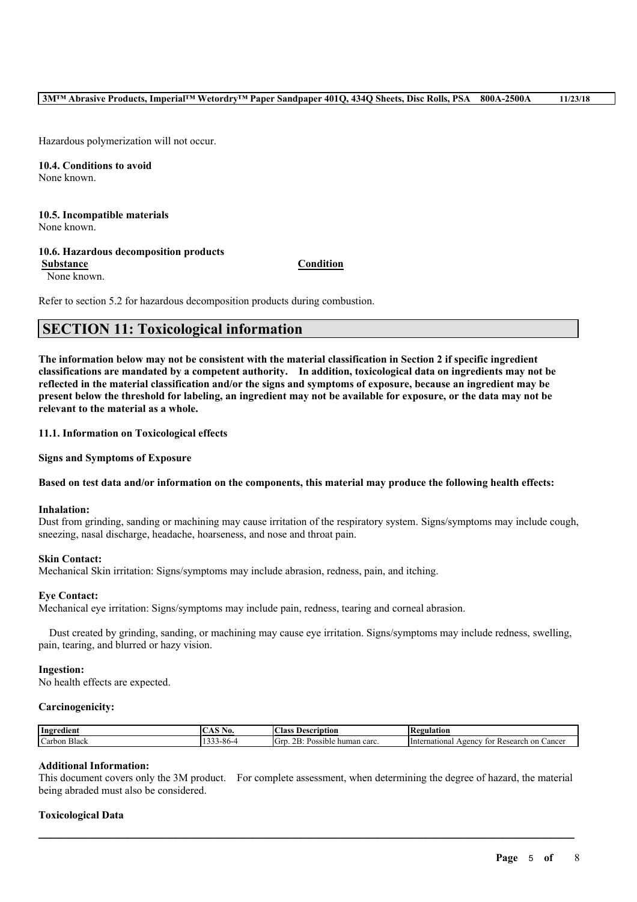Hazardous polymerization will not occur.

**10.4. Conditions to avoid** None known.

**10.5. Incompatible materials** None known.

## **10.6. Hazardous decomposition products**

**Substance Condition**

None known.

Refer to section 5.2 for hazardous decomposition products during combustion.

## **SECTION 11: Toxicological information**

The information below may not be consistent with the material classification in Section 2 if specific ingredient **classifications are mandated by a competent authority. In addition, toxicological data on ingredients may not be** reflected in the material classification and/or the signs and symptoms of exposure, because an ingredient may be present below the threshold for labeling, an ingredient may not be available for exposure, or the data may not be **relevant to the material as a whole.**

**11.1. Information on Toxicological effects**

**Signs and Symptoms of Exposure**

### Based on test data and/or information on the components, this material may produce the following health effects:

#### **Inhalation:**

Dust from grinding, sanding or machining may cause irritation of the respiratory system. Signs/symptoms may include cough, sneezing, nasal discharge, headache, hoarseness, and nose and throat pain.

### **Skin Contact:**

Mechanical Skin irritation: Signs/symptoms may include abrasion, redness, pain, and itching.

### **Eye Contact:**

Mechanical eye irritation: Signs/symptoms may include pain, redness, tearing and corneal abrasion.

Dust created by grinding, sanding, or machining may cause eye irritation. Signs/symptoms may include redness, swelling, pain, tearing, and blurred or hazy vision.

#### **Ingestion:**

No health effects are expected.

#### **Carcinogenicity:**

| Ingredient                          | NO.        | $\sqrt{ }$<br>scription<br>Aass:                                    | tegulation<br>KC.                                              |
|-------------------------------------|------------|---------------------------------------------------------------------|----------------------------------------------------------------|
| v.<br>$\sqrt{ }$<br>Black<br>Carbon | s_xn_<br>. | . .<br>$\sqrt{2}$<br>n r<br>.,<br>carc<br>Possible<br>human<br>- GN | International<br>Research<br>. on<br>r Cancer<br>Agency<br>toi |

#### **Additional Information:**

This document covers only the 3M product. For complete assessment, when determining the degree of hazard, the material being abraded must also be considered.

 $\mathcal{L}_\mathcal{L} = \mathcal{L}_\mathcal{L} = \mathcal{L}_\mathcal{L} = \mathcal{L}_\mathcal{L} = \mathcal{L}_\mathcal{L} = \mathcal{L}_\mathcal{L} = \mathcal{L}_\mathcal{L} = \mathcal{L}_\mathcal{L} = \mathcal{L}_\mathcal{L} = \mathcal{L}_\mathcal{L} = \mathcal{L}_\mathcal{L} = \mathcal{L}_\mathcal{L} = \mathcal{L}_\mathcal{L} = \mathcal{L}_\mathcal{L} = \mathcal{L}_\mathcal{L} = \mathcal{L}_\mathcal{L} = \mathcal{L}_\mathcal{L}$ 

### **Toxicological Data**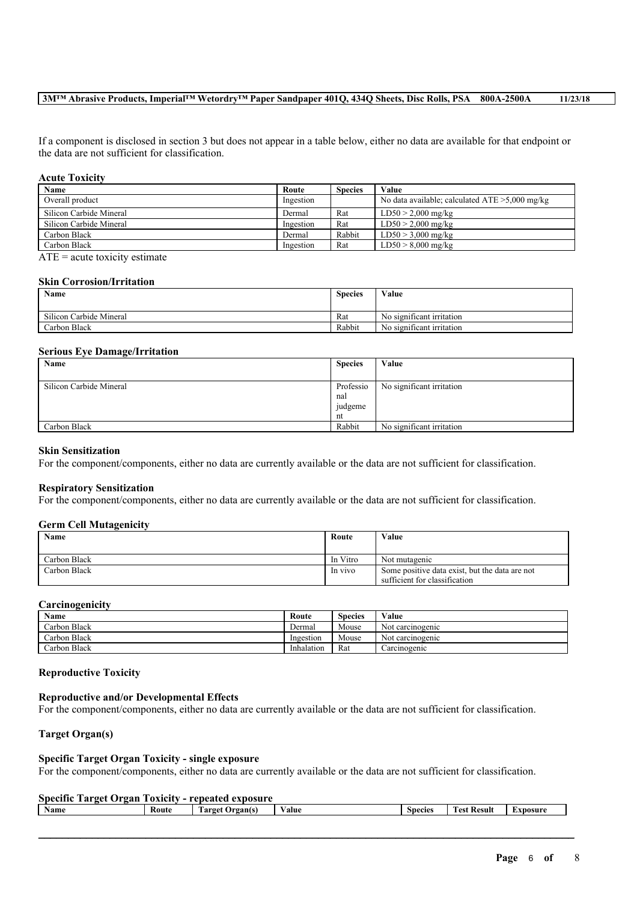#### **3M™ Abrasive Products, Imperial™ Wetordry™ Paper Sandpaper 401Q, 434Q Sheets, Disc Rolls, PSA 800A-2500A 11/23/18**

If a component is disclosed in section 3 but does not appear in a table below, either no data are available for that endpoint or the data are not sufficient for classification.

#### **Acute Toxicity**

| Name                    | Route     | <b>Species</b> | Value                                             |
|-------------------------|-----------|----------------|---------------------------------------------------|
| Overall product         | Ingestion |                | No data available; calculated $ATE > 5,000$ mg/kg |
| Silicon Carbide Mineral | Dermal    | Rat            | $LD50 > 2,000$ mg/kg                              |
| Silicon Carbide Mineral | Ingestion | Rat            | $LD50 > 2,000$ mg/kg                              |
| Carbon Black            | Dermal    | Rabbit         | $LD50 > 3,000$ mg/kg                              |
| Carbon Black            | Ingestion | Rat            | $LD50 > 8,000$ mg/kg                              |

 $ATE = acute$  toxicity estimate

#### **Skin Corrosion/Irritation**

| Name                    | <b>Species</b> | Value                                       |
|-------------------------|----------------|---------------------------------------------|
| Silicon Carbide Mineral | Rat            | No significant irritation                   |
| Carbon Black            | Rabbit         | $\cdot$ $\sim$<br>No significant irritation |

#### **Serious Eye Damage/Irritation**

| Name                    | <b>Species</b> | Value                     |
|-------------------------|----------------|---------------------------|
|                         |                |                           |
| Silicon Carbide Mineral | Professio      | No significant irritation |
|                         | nal            |                           |
|                         | judgeme        |                           |
|                         | nt             |                           |
| Carbon Black            | Rabbit         | No significant irritation |

#### **Skin Sensitization**

For the component/components, either no data are currently available or the data are not sufficient for classification.

#### **Respiratory Sensitization**

For the component/components, either no data are currently available or the data are not sufficient for classification.

#### **Germ Cell Mutagenicity**

| Name         | Route    | Value                                          |
|--------------|----------|------------------------------------------------|
| Carbon Black | In Vitro | Not mutagenic                                  |
| Carbon Black | In vivo  | Some positive data exist, but the data are not |
|              |          | sufficient for classification                  |

#### **Carcinogenicity**

| Name         | Route      | Species | Value            |
|--------------|------------|---------|------------------|
| Carbon Black | Dermal     | Mouse   | Not carcinogenic |
| Carbon Black | Ingestion  | Mouse   | Not carcinogenic |
| Carbon Black | Inhalation | Rat     | Carcinogenic     |

#### **Reproductive Toxicity**

#### **Reproductive and/or Developmental Effects**

For the component/components, either no data are currently available or the data are not sufficient for classification.

### **Target Organ(s)**

#### **Specific Target Organ Toxicity - single exposure**

For the component/components, either no data are currently available or the data are not sufficient for classification.

## **Specific Target Organ Toxicity - repeated exposure**

| Name |  | Route | -<br>Target<br>Jrgan(s | ⁄ alue | <b>Species</b> | <b>CONTRACT</b><br><b>Result</b><br>est. | ``xposure |
|------|--|-------|------------------------|--------|----------------|------------------------------------------|-----------|
|      |  |       |                        |        |                |                                          |           |

 $\mathcal{L}_\mathcal{L} = \mathcal{L}_\mathcal{L} = \mathcal{L}_\mathcal{L} = \mathcal{L}_\mathcal{L} = \mathcal{L}_\mathcal{L} = \mathcal{L}_\mathcal{L} = \mathcal{L}_\mathcal{L} = \mathcal{L}_\mathcal{L} = \mathcal{L}_\mathcal{L} = \mathcal{L}_\mathcal{L} = \mathcal{L}_\mathcal{L} = \mathcal{L}_\mathcal{L} = \mathcal{L}_\mathcal{L} = \mathcal{L}_\mathcal{L} = \mathcal{L}_\mathcal{L} = \mathcal{L}_\mathcal{L} = \mathcal{L}_\mathcal{L}$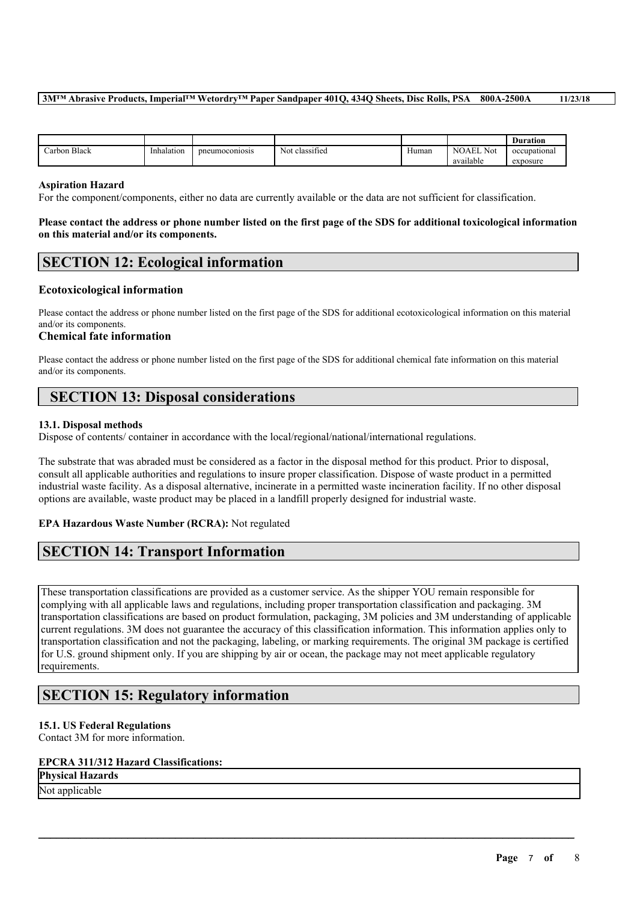### **3M™ Abrasive Products, Imperial™ Wetordry™ Paper Sandpaper 401Q, 434Q Sheets, Disc Rolls, PSA 800A-2500A 11/23/18**

|                              |            |                |                          |              |                     | <b>Duration</b> |
|------------------------------|------------|----------------|--------------------------|--------------|---------------------|-----------------|
| $\mathbf{D}$<br>∴arbon Black | Inhalation | pneumoconiosis | . .<br>classified<br>Not | $-$<br>Human | <b>NOAEL</b><br>Not | occupational    |
|                              |            |                |                          |              | .<br>available      | exposure        |

#### **Aspiration Hazard**

For the component/components, either no data are currently available or the data are not sufficient for classification.

#### Please contact the address or phone number listed on the first page of the SDS for additional toxicological information **on this material and/or its components.**

# **SECTION 12: Ecological information**

### **Ecotoxicological information**

Please contact the address or phone number listed on the first page of the SDS for additional ecotoxicological information on this material and/or its components.

#### **Chemical fate information**

Please contact the address or phone number listed on the first page of the SDS for additional chemical fate information on this material and/or its components.

## **SECTION 13: Disposal considerations**

### **13.1. Disposal methods**

Dispose of contents/ container in accordance with the local/regional/national/international regulations.

The substrate that was abraded must be considered as a factor in the disposal method for this product. Prior to disposal, consult all applicable authorities and regulations to insure proper classification. Dispose of waste product in a permitted industrial waste facility. As a disposal alternative, incinerate in a permitted waste incineration facility. If no other disposal options are available, waste product may be placed in a landfill properly designed for industrial waste.

### **EPA Hazardous Waste Number (RCRA):** Not regulated

## **SECTION 14: Transport Information**

These transportation classifications are provided as a customer service. As the shipper YOU remain responsible for complying with all applicable laws and regulations, including proper transportation classification and packaging. 3M transportation classifications are based on product formulation, packaging, 3M policies and 3M understanding of applicable current regulations. 3M does not guarantee the accuracy of this classification information. This information applies only to transportation classification and not the packaging, labeling, or marking requirements. The original 3M package is certified for U.S. ground shipment only. If you are shipping by air or ocean, the package may not meet applicable regulatory requirements.

 $\mathcal{L}_\mathcal{L} = \mathcal{L}_\mathcal{L} = \mathcal{L}_\mathcal{L} = \mathcal{L}_\mathcal{L} = \mathcal{L}_\mathcal{L} = \mathcal{L}_\mathcal{L} = \mathcal{L}_\mathcal{L} = \mathcal{L}_\mathcal{L} = \mathcal{L}_\mathcal{L} = \mathcal{L}_\mathcal{L} = \mathcal{L}_\mathcal{L} = \mathcal{L}_\mathcal{L} = \mathcal{L}_\mathcal{L} = \mathcal{L}_\mathcal{L} = \mathcal{L}_\mathcal{L} = \mathcal{L}_\mathcal{L} = \mathcal{L}_\mathcal{L}$ 

## **SECTION 15: Regulatory information**

### **15.1. US Federal Regulations**

Contact 3M for more information.

## **EPCRA 311/312 Hazard Classifications:**

### **Physical Hazards**

Not applicable